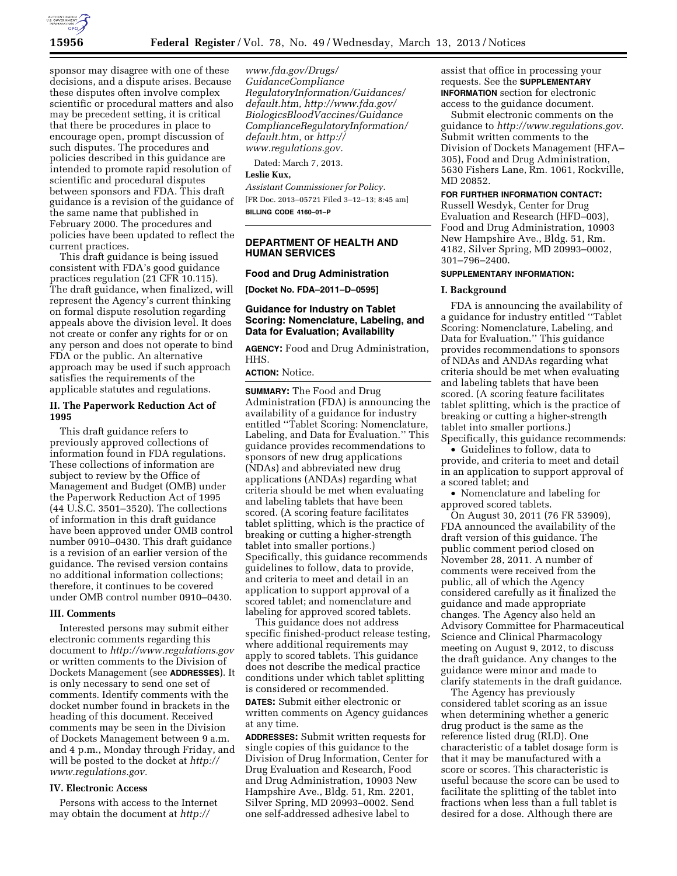

sponsor may disagree with one of these decisions, and a dispute arises. Because these disputes often involve complex scientific or procedural matters and also may be precedent setting, it is critical that there be procedures in place to encourage open, prompt discussion of such disputes. The procedures and policies described in this guidance are intended to promote rapid resolution of scientific and procedural disputes between sponsors and FDA. This draft guidance is a revision of the guidance of the same name that published in February 2000. The procedures and policies have been updated to reflect the current practices.

This draft guidance is being issued consistent with FDA's good guidance practices regulation (21 CFR 10.115). The draft guidance, when finalized, will represent the Agency's current thinking on formal dispute resolution regarding appeals above the division level. It does not create or confer any rights for or on any person and does not operate to bind FDA or the public. An alternative approach may be used if such approach satisfies the requirements of the applicable statutes and regulations.

# **II. The Paperwork Reduction Act of 1995**

This draft guidance refers to previously approved collections of information found in FDA regulations. These collections of information are subject to review by the Office of Management and Budget (OMB) under the Paperwork Reduction Act of 1995 (44 U.S.C. 3501–3520). The collections of information in this draft guidance have been approved under OMB control number 0910–0430. This draft guidance is a revision of an earlier version of the guidance. The revised version contains no additional information collections; therefore, it continues to be covered under OMB control number 0910–0430.

## **III. Comments**

Interested persons may submit either electronic comments regarding this document to *<http://www.regulations.gov>* or written comments to the Division of Dockets Management (see **ADDRESSES**). It is only necessary to send one set of comments. Identify comments with the docket number found in brackets in the heading of this document. Received comments may be seen in the Division of Dockets Management between 9 a.m. and 4 p.m., Monday through Friday, and will be posted to the docket at *[http://](http://www.regulations.gov) [www.regulations.gov.](http://www.regulations.gov)* 

## **IV. Electronic Access**

Persons with access to the Internet may obtain the document at *[http://](http://www.fda.gov/Drugs/GuidanceComplianceRegulatoryInformation/Guidances/default.htm)* 

*[www.fda.gov/Drugs/](http://www.fda.gov/Drugs/GuidanceComplianceRegulatoryInformation/Guidances/default.htm) [GuidanceCompliance](http://www.fda.gov/Drugs/GuidanceComplianceRegulatoryInformation/Guidances/default.htm) [RegulatoryInformation/Guidances/](http://www.fda.gov/Drugs/GuidanceComplianceRegulatoryInformation/Guidances/default.htm)  [default.htm,](http://www.fda.gov/Drugs/GuidanceComplianceRegulatoryInformation/Guidances/default.htm) [http://www.fda.gov/](http://www.fda.gov/BiologicsBloodVaccines/GuidanceComplianceRegulatoryInformation/default.htm)  [BiologicsBloodVaccines/Guidance](http://www.fda.gov/BiologicsBloodVaccines/GuidanceComplianceRegulatoryInformation/default.htm) ComplianceRegulatoryInformation/ [default.htm,](http://www.fda.gov/BiologicsBloodVaccines/GuidanceComplianceRegulatoryInformation/default.htm)* or *[http://](http://www.regulations.gov)  [www.regulations.gov.](http://www.regulations.gov)* 

Dated: March 7, 2013.

## **Leslie Kux,**

*Assistant Commissioner for Policy.*  [FR Doc. 2013–05721 Filed 3–12–13; 8:45 am] **BILLING CODE 4160–01–P** 

**DEPARTMENT OF HEALTH AND HUMAN SERVICES** 

### **Food and Drug Administration**

**[Docket No. FDA–2011–D–0595]** 

# **Guidance for Industry on Tablet Scoring: Nomenclature, Labeling, and Data for Evaluation; Availability**

**AGENCY:** Food and Drug Administration, HHS.

#### **ACTION:** Notice.

**SUMMARY:** The Food and Drug Administration (FDA) is announcing the availability of a guidance for industry entitled ''Tablet Scoring: Nomenclature, Labeling, and Data for Evaluation.'' This guidance provides recommendations to sponsors of new drug applications (NDAs) and abbreviated new drug applications (ANDAs) regarding what criteria should be met when evaluating and labeling tablets that have been scored. (A scoring feature facilitates tablet splitting, which is the practice of breaking or cutting a higher-strength tablet into smaller portions.) Specifically, this guidance recommends guidelines to follow, data to provide, and criteria to meet and detail in an application to support approval of a scored tablet; and nomenclature and labeling for approved scored tablets.

This guidance does not address specific finished-product release testing, where additional requirements may apply to scored tablets. This guidance does not describe the medical practice conditions under which tablet splitting is considered or recommended. **DATES:** Submit either electronic or written comments on Agency guidances

at any time. **ADDRESSES:** Submit written requests for single copies of this guidance to the

Division of Drug Information, Center for Drug Evaluation and Research, Food and Drug Administration, 10903 New Hampshire Ave., Bldg. 51, Rm. 2201, Silver Spring, MD 20993–0002. Send one self-addressed adhesive label to

assist that office in processing your requests. See the **SUPPLEMENTARY INFORMATION** section for electronic access to the guidance document.

Submit electronic comments on the guidance to *[http://www.regulations.gov.](http://www.regulations.gov)*  Submit written comments to the Division of Dockets Management (HFA– 305), Food and Drug Administration, 5630 Fishers Lane, Rm. 1061, Rockville, MD 20852.

## **FOR FURTHER INFORMATION CONTACT:**

Russell Wesdyk, Center for Drug Evaluation and Research (HFD–003), Food and Drug Administration, 10903 New Hampshire Ave., Bldg. 51, Rm. 4182, Silver Spring, MD 20993–0002, 301–796–2400.

#### **SUPPLEMENTARY INFORMATION:**

### **I. Background**

FDA is announcing the availability of a guidance for industry entitled ''Tablet Scoring: Nomenclature, Labeling, and Data for Evaluation.'' This guidance provides recommendations to sponsors of NDAs and ANDAs regarding what criteria should be met when evaluating and labeling tablets that have been scored. (A scoring feature facilitates tablet splitting, which is the practice of breaking or cutting a higher-strength tablet into smaller portions.) Specifically, this guidance recommends:

• Guidelines to follow, data to provide, and criteria to meet and detail in an application to support approval of a scored tablet; and

• Nomenclature and labeling for approved scored tablets.

On August 30, 2011 (76 FR 53909), FDA announced the availability of the draft version of this guidance. The public comment period closed on November 28, 2011. A number of comments were received from the public, all of which the Agency considered carefully as it finalized the guidance and made appropriate changes. The Agency also held an Advisory Committee for Pharmaceutical Science and Clinical Pharmacology meeting on August 9, 2012, to discuss the draft guidance. Any changes to the guidance were minor and made to clarify statements in the draft guidance.

The Agency has previously considered tablet scoring as an issue when determining whether a generic drug product is the same as the reference listed drug (RLD). One characteristic of a tablet dosage form is that it may be manufactured with a score or scores. This characteristic is useful because the score can be used to facilitate the splitting of the tablet into fractions when less than a full tablet is desired for a dose. Although there are